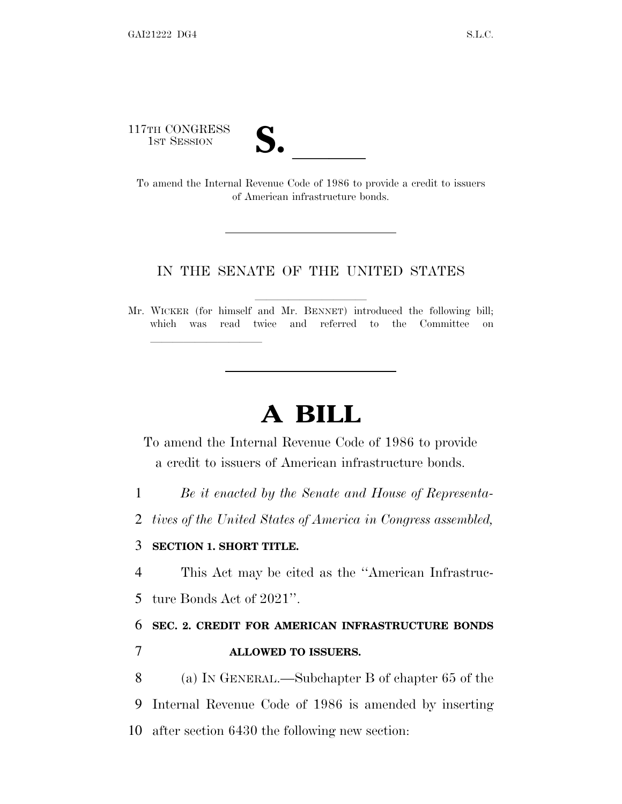117TH CONGRESS



17TH CONGRESS<br>
1ST SESSION<br>
To amend the Internal Revenue Code of 1986 to provide a credit to issuers of American infrastructure bonds.

#### IN THE SENATE OF THE UNITED STATES

Mr. WICKER (for himself and Mr. BENNET) introduced the following bill; which was read twice and referred to the Committee on

# **A BILL**

To amend the Internal Revenue Code of 1986 to provide a credit to issuers of American infrastructure bonds.

1 *Be it enacted by the Senate and House of Representa-*

2 *tives of the United States of America in Congress assembled,*

#### 3 **SECTION 1. SHORT TITLE.**

lla se al constituit de la constituit de la constituit de la constituit de la constituit de la constituit de l<br>La constituit de la constituit de la constituit de la constituit de la constituit de la constituit de la const

4 This Act may be cited as the ''American Infrastruc-

5 ture Bonds Act of 2021''.

## 6 **SEC. 2. CREDIT FOR AMERICAN INFRASTRUCTURE BONDS**

7 **ALLOWED TO ISSUERS.**

8 (a) I<sup>N</sup> GENERAL.—Subchapter B of chapter 65 of the 9 Internal Revenue Code of 1986 is amended by inserting 10 after section 6430 the following new section: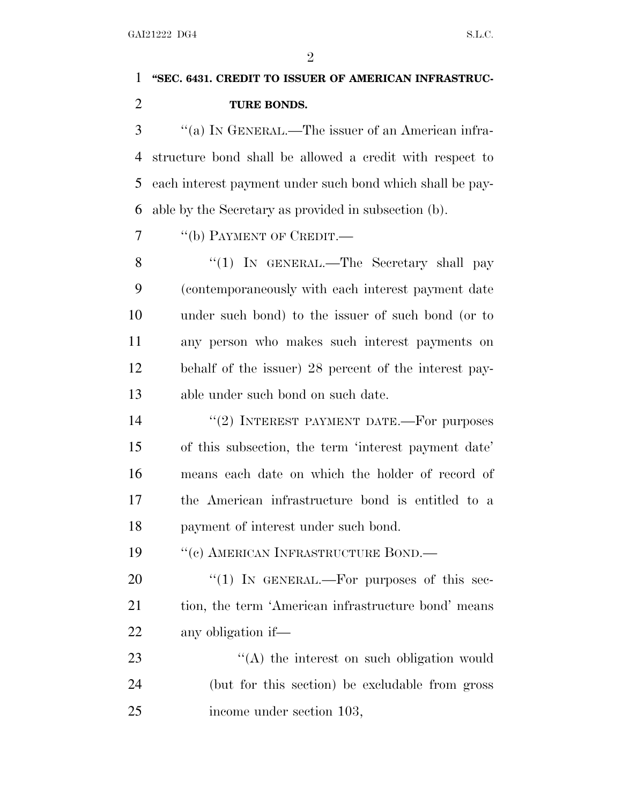$\mathfrak{D}$ 

### **''SEC. 6431. CREDIT TO ISSUER OF AMERICAN INFRASTRUC-TURE BONDS.**

 ''(a) I<sup>N</sup> GENERAL.—The issuer of an American infra- structure bond shall be allowed a credit with respect to each interest payment under such bond which shall be pay-able by the Secretary as provided in subsection (b).

7 <sup>''</sup>(b) PAYMENT OF CREDIT.

8 "(1) IN GENERAL.—The Secretary shall pay (contemporaneously with each interest payment date under such bond) to the issuer of such bond (or to any person who makes such interest payments on behalf of the issuer) 28 percent of the interest pay-able under such bond on such date.

14 "(2) INTEREST PAYMENT DATE.—For purposes of this subsection, the term 'interest payment date' means each date on which the holder of record of the American infrastructure bond is entitled to a payment of interest under such bond.

19 "(c) AMERICAN INFRASTRUCTURE BOND.—

20 "(1) IN GENERAL.—For purposes of this sec-21 tion, the term 'American infrastructure bond' means any obligation if—

23 ''(A) the interest on such obligation would (but for this section) be excludable from gross income under section 103,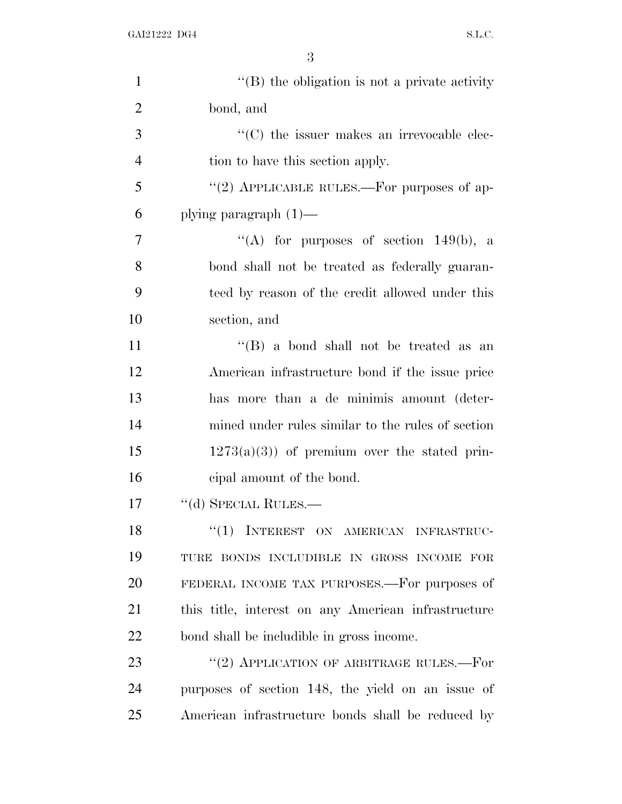3

| $\mathbf{1}$   | $\lq\lq$ the obligation is not a private activity   |
|----------------|-----------------------------------------------------|
| $\overline{2}$ | bond, and                                           |
| 3              | "(C) the issuer makes an irrevocable elec-          |
| $\overline{4}$ | tion to have this section apply.                    |
| 5              | "(2) APPLICABLE RULES.—For purposes of ap-          |
| 6              | plying paragraph $(1)$ —                            |
| $\overline{7}$ | "(A) for purposes of section $149(b)$ , a           |
| 8              | bond shall not be treated as federally guaran-      |
| 9              | teed by reason of the credit allowed under this     |
| 10             | section, and                                        |
| 11             | "(B) a bond shall not be treated as an              |
| 12             | American infrastructure bond if the issue price     |
| 13             | has more than a de minimis amount (deter-           |
| 14             | mined under rules similar to the rules of section   |
| 15             | $1273(a)(3)$ of premium over the stated prin-       |
| 16             | eipal amount of the bond.                           |
| 17             | $``$ (d) SPECIAL RULES.—                            |
| 18             | "(1) INTEREST ON AMERICAN INFRASTRUC-               |
| 19             | TURE BONDS INCLUDIBLE IN GROSS INCOME FOR           |
| 20             | FEDERAL INCOME TAX PURPOSES.—For purposes of        |
| 21             | this title, interest on any American infrastructure |
| 22             | bond shall be includible in gross income.           |
| 23             | $``(2)$ APPLICATION OF ARBITRAGE RULES.—For         |
| 24             | purposes of section 148, the yield on an issue of   |
| 25             | American infrastructure bonds shall be reduced by   |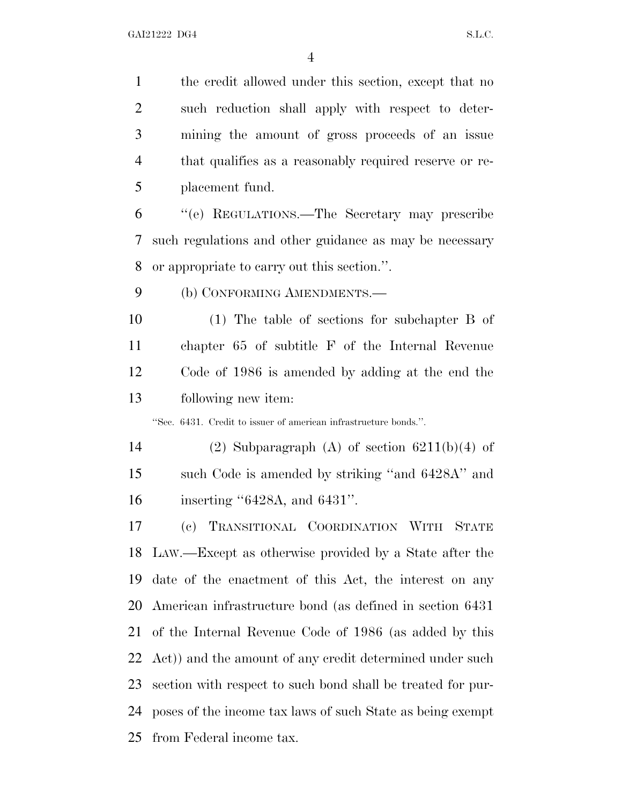the credit allowed under this section, except that no such reduction shall apply with respect to deter- mining the amount of gross proceeds of an issue that qualifies as a reasonably required reserve or re-placement fund.

 ''(e) REGULATIONS.—The Secretary may prescribe such regulations and other guidance as may be necessary or appropriate to carry out this section.''.

9 (b) CONFORMING AMENDMENTS.—

 (1) The table of sections for subchapter B of chapter 65 of subtitle F of the Internal Revenue Code of 1986 is amended by adding at the end the following new item:

''Sec. 6431. Credit to issuer of american infrastructure bonds.''.

14 (2) Subparagraph (A) of section  $6211(b)(4)$  of such Code is amended by striking ''and 6428A'' and inserting ''6428A, and 6431''.

 (c) TRANSITIONAL COORDINATION WITH STATE LAW.—Except as otherwise provided by a State after the date of the enactment of this Act, the interest on any American infrastructure bond (as defined in section 6431 of the Internal Revenue Code of 1986 (as added by this Act)) and the amount of any credit determined under such section with respect to such bond shall be treated for pur- poses of the income tax laws of such State as being exempt from Federal income tax.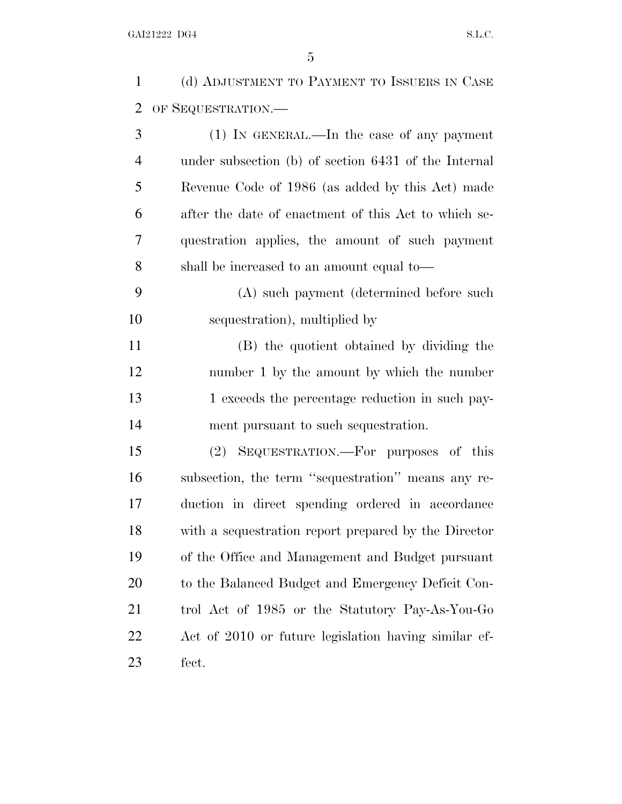(d) ADJUSTMENT TO PAYMENT TO ISSUERS IN CASE OF SEQUESTRATION.—

 (1) IN GENERAL.—In the case of any payment under subsection (b) of section 6431 of the Internal Revenue Code of 1986 (as added by this Act) made after the date of enactment of this Act to which se- questration applies, the amount of such payment shall be increased to an amount equal to—

 (A) such payment (determined before such sequestration), multiplied by

 (B) the quotient obtained by dividing the number 1 by the amount by which the number 13 1 exceeds the percentage reduction in such pay-ment pursuant to such sequestration.

 (2) SEQUESTRATION.—For purposes of this subsection, the term ''sequestration'' means any re- duction in direct spending ordered in accordance with a sequestration report prepared by the Director of the Office and Management and Budget pursuant 20 to the Balanced Budget and Emergency Deficit Con- trol Act of 1985 or the Statutory Pay-As-You-Go Act of 2010 or future legislation having similar ef-fect.